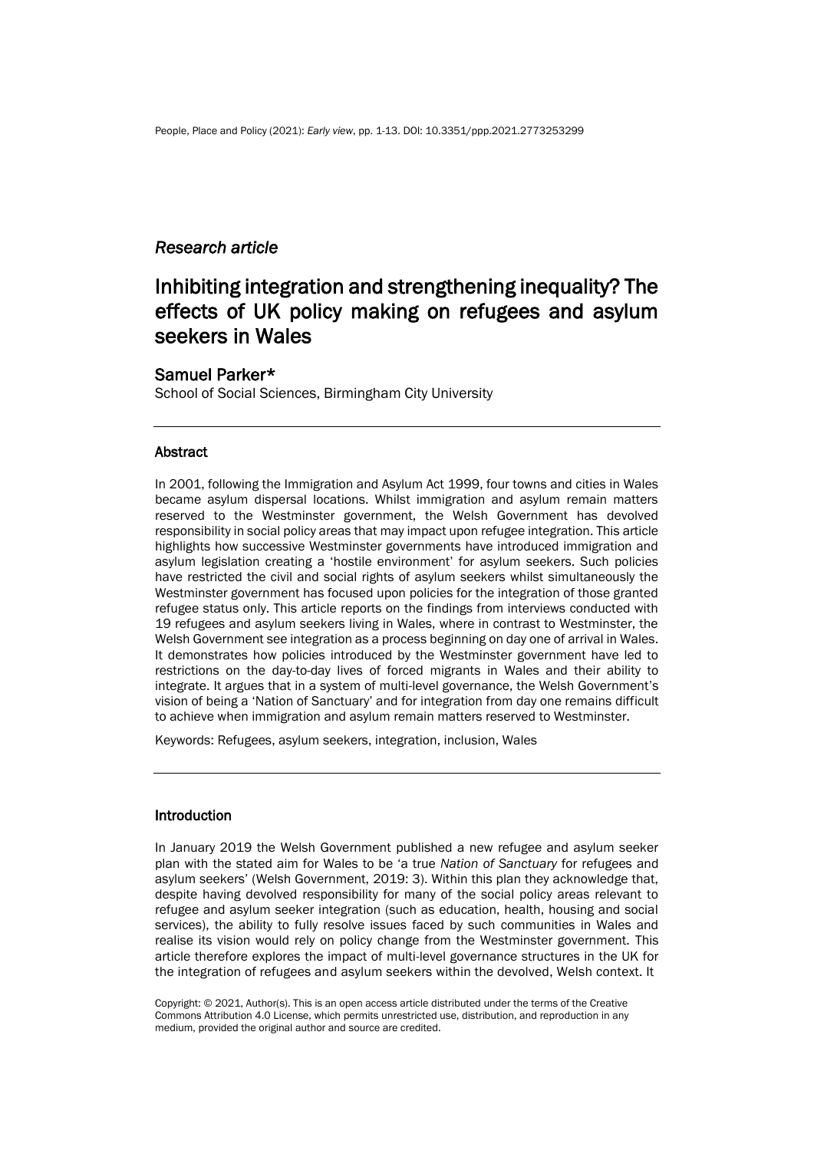## *Research article*

# Inhibiting integration and strengthening inequality? The effects of UK policy making on refugees and asylum seekers in Wales

## Samuel Parker\*

School of Social Sciences, Birmingham City University

#### **Abstract**

In 2001, following the Immigration and Asylum Act 1999, four towns and cities in Wales became asylum dispersal locations. Whilst immigration and asylum remain matters reserved to the Westminster government, the Welsh Government has devolved responsibility in social policy areas that may impact upon refugee integration. This article highlights how successive Westminster governments have introduced immigration and asylum legislation creating a 'hostile environment' for asylum seekers. Such policies have restricted the civil and social rights of asylum seekers whilst simultaneously the Westminster government has focused upon policies for the integration of those granted refugee status only. This article reports on the findings from interviews conducted with 19 refugees and asylum seekers living in Wales, where in contrast to Westminster, the Welsh Government see integration as a process beginning on day one of arrival in Wales. It demonstrates how policies introduced by the Westminster government have led to restrictions on the day-to-day lives of forced migrants in Wales and their ability to integrate. It argues that in a system of multi-level governance, the Welsh Government's vision of being a 'Nation of Sanctuary' and for integration from day one remains difficult to achieve when immigration and asylum remain matters reserved to Westminster.

Keywords: Refugees, asylum seekers, integration, inclusion, Wales

#### Introduction

In January 2019 the Welsh Government published a new refugee and asylum seeker plan with the stated aim for Wales to be 'a true *Nation of Sanctuary* for refugees and asylum seekers' (Welsh Government, 2019: 3). Within this plan they acknowledge that, despite having devolved responsibility for many of the social policy areas relevant to refugee and asylum seeker integration (such as education, health, housing and social services), the ability to fully resolve issues faced by such communities in Wales and realise its vision would rely on policy change from the Westminster government. This article therefore explores the impact of multi-level governance structures in the UK for the integration of refugees and asylum seekers within the devolved, Welsh context. It

Copyright: © 2021, Author(s). This is an open access article distributed under the terms of the Creative Commons Attribution 4.0 License, which permits unrestricted use, distribution, and reproduction in any medium, provided the original author and source are credited.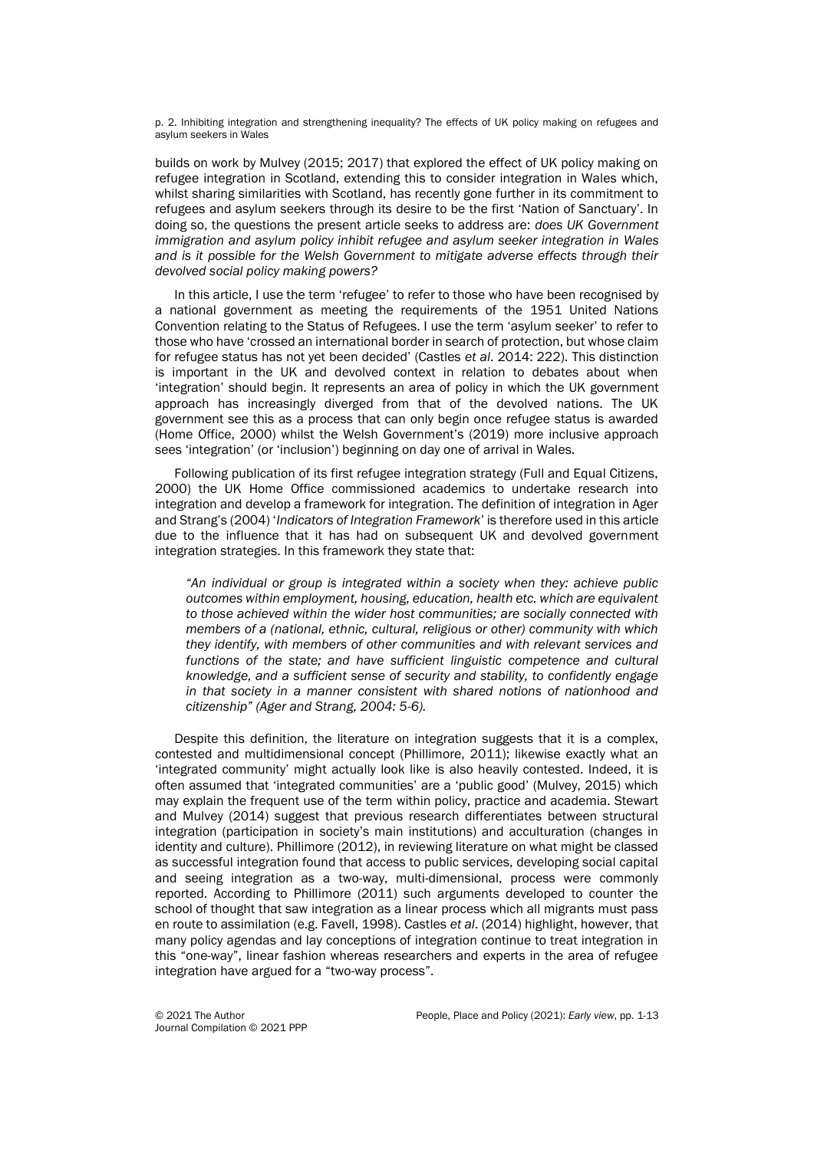p. 2. Inhibiting integration and strengthening inequality? The effects of UK policy making on refugees and asylum seekers in Wales

builds on work by Mulvey (2015; 2017) that explored the effect of UK policy making on refugee integration in Scotland, extending this to consider integration in Wales which, whilst sharing similarities with Scotland, has recently gone further in its commitment to refugees and asylum seekers through its desire to be the first 'Nation of Sanctuary'. In doing so, the questions the present article seeks to address are: *does UK Government immigration and asylum policy inhibit refugee and asylum seeker integration in Wales and is it possible for the Welsh Government to mitigate adverse effects through their devolved social policy making powers?*

In this article, I use the term 'refugee' to refer to those who have been recognised by a national government as meeting the requirements of the 1951 United Nations Convention relating to the Status of Refugees. I use the term 'asylum seeker' to refer to those who have 'crossed an international border in search of protection, but whose claim for refugee status has not yet been decided' (Castles *et al*. 2014: 222). This distinction is important in the UK and devolved context in relation to debates about when 'integration' should begin. It represents an area of policy in which the UK government approach has increasingly diverged from that of the devolved nations. The UK government see this as a process that can only begin once refugee status is awarded (Home Office, 2000) whilst the Welsh Government's (2019) more inclusive approach sees 'integration' (or 'inclusion') beginning on day one of arrival in Wales.

Following publication of its first refugee integration strategy (Full and Equal Citizens, 2000) the UK Home Office commissioned academics to undertake research into integration and develop a framework for integration. The definition of integration in Ager and Strang's (2004) '*Indicators of Integration Framework*' is therefore used in this article due to the influence that it has had on subsequent UK and devolved government integration strategies. In this framework they state that:

*"An individual or group is integrated within a society when they: achieve public outcomes within employment, housing, education, health etc. which are equivalent to those achieved within the wider host communities; are socially connected with members of a (national, ethnic, cultural, religious or other) community with which they identify, with members of other communities and with relevant services and functions of the state; and have sufficient linguistic competence and cultural knowledge, and a sufficient sense of security and stability, to confidently engage in that society in a manner consistent with shared notions of nationhood and citizenship" (Ager and Strang, 2004: 5-6).* 

Despite this definition, the literature on integration suggests that it is a complex, contested and multidimensional concept (Phillimore, 2011); likewise exactly what an 'integrated community' might actually look like is also heavily contested. Indeed, it is often assumed that 'integrated communities' are a 'public good' (Mulvey, 2015) which may explain the frequent use of the term within policy, practice and academia. Stewart and Mulvey (2014) suggest that previous research differentiates between structural integration (participation in society's main institutions) and acculturation (changes in identity and culture). Phillimore (2012), in reviewing literature on what might be classed as successful integration found that access to public services, developing social capital and seeing integration as a two-way, multi-dimensional, process were commonly reported. According to Phillimore (2011) such arguments developed to counter the school of thought that saw integration as a linear process which all migrants must pass en route to assimilation (e.g. Favell, 1998). Castles *et al*. (2014) highlight, however, that many policy agendas and lay conceptions of integration continue to treat integration in this "one-way", linear fashion whereas researchers and experts in the area of refugee integration have argued for a "two-way process".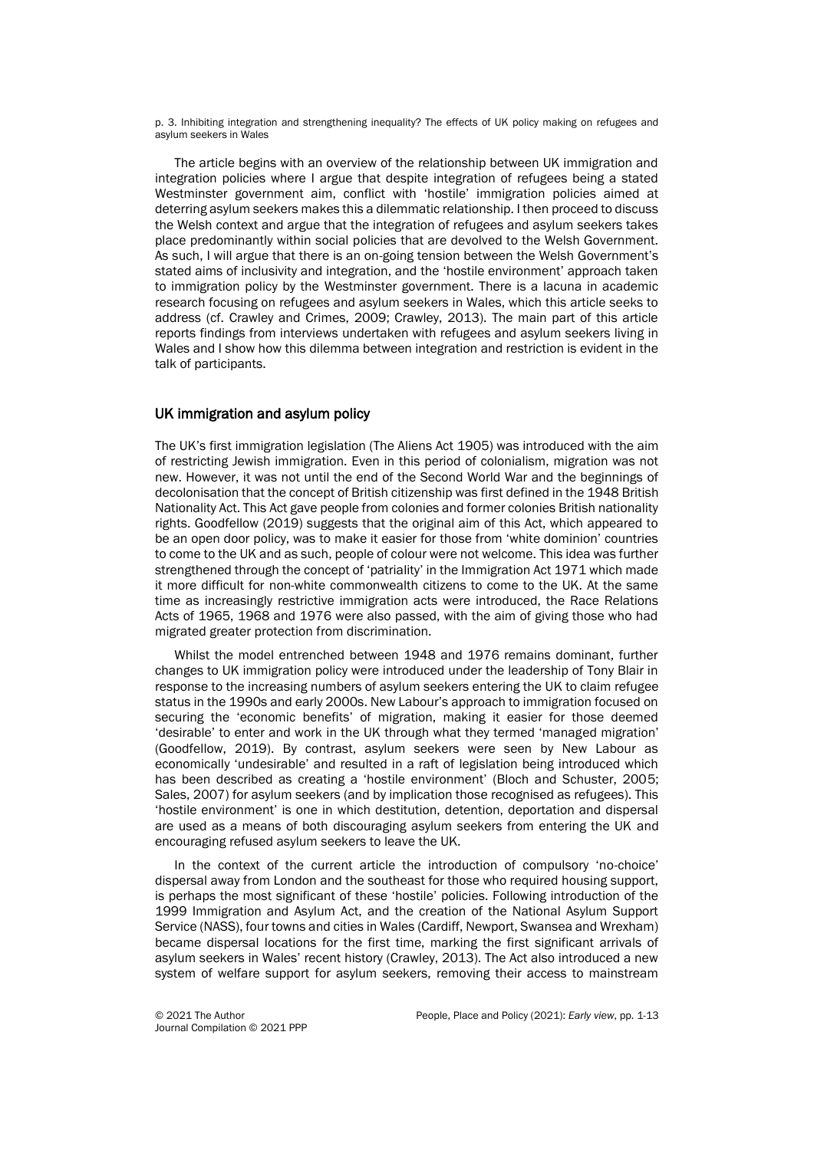p. 3. Inhibiting integration and strengthening inequality? The effects of UK policy making on refugees and asylum seekers in Wales

The article begins with an overview of the relationship between UK immigration and integration policies where I argue that despite integration of refugees being a stated Westminster government aim, conflict with 'hostile' immigration policies aimed at deterring asylum seekers makes this a dilemmatic relationship. I then proceed to discuss the Welsh context and argue that the integration of refugees and asylum seekers takes place predominantly within social policies that are devolved to the Welsh Government. As such, I will argue that there is an on-going tension between the Welsh Government's stated aims of inclusivity and integration, and the 'hostile environment' approach taken to immigration policy by the Westminster government. There is a lacuna in academic research focusing on refugees and asylum seekers in Wales, which this article seeks to address (cf. Crawley and Crimes, 2009; Crawley, 2013). The main part of this article reports findings from interviews undertaken with refugees and asylum seekers living in Wales and I show how this dilemma between integration and restriction is evident in the talk of participants.

## UK immigration and asylum policy

The UK's first immigration legislation (The Aliens Act 1905) was introduced with the aim of restricting Jewish immigration. Even in this period of colonialism, migration was not new. However, it was not until the end of the Second World War and the beginnings of decolonisation that the concept of British citizenship was first defined in the 1948 British Nationality Act. This Act gave people from colonies and former colonies British nationality rights. Goodfellow (2019) suggests that the original aim of this Act, which appeared to be an open door policy, was to make it easier for those from 'white dominion' countries to come to the UK and as such, people of colour were not welcome. This idea was further strengthened through the concept of 'patriality' in the Immigration Act 1971 which made it more difficult for non-white commonwealth citizens to come to the UK. At the same time as increasingly restrictive immigration acts were introduced, the Race Relations Acts of 1965, 1968 and 1976 were also passed, with the aim of giving those who had migrated greater protection from discrimination.

Whilst the model entrenched between 1948 and 1976 remains dominant, further changes to UK immigration policy were introduced under the leadership of Tony Blair in response to the increasing numbers of asylum seekers entering the UK to claim refugee status in the 1990s and early 2000s. New Labour's approach to immigration focused on securing the 'economic benefits' of migration, making it easier for those deemed 'desirable' to enter and work in the UK through what they termed 'managed migration' (Goodfellow, 2019). By contrast, asylum seekers were seen by New Labour as economically 'undesirable' and resulted in a raft of legislation being introduced which has been described as creating a 'hostile environment' (Bloch and Schuster, 2005; Sales, 2007) for asylum seekers (and by implication those recognised as refugees). This 'hostile environment' is one in which destitution, detention, deportation and dispersal are used as a means of both discouraging asylum seekers from entering the UK and encouraging refused asylum seekers to leave the UK.

In the context of the current article the introduction of compulsory 'no-choice' dispersal away from London and the southeast for those who required housing support, is perhaps the most significant of these 'hostile' policies. Following introduction of the 1999 Immigration and Asylum Act, and the creation of the National Asylum Support Service (NASS), four towns and cities in Wales (Cardiff, Newport, Swansea and Wrexham) became dispersal locations for the first time, marking the first significant arrivals of asylum seekers in Wales' recent history (Crawley, 2013). The Act also introduced a new system of welfare support for asylum seekers, removing their access to mainstream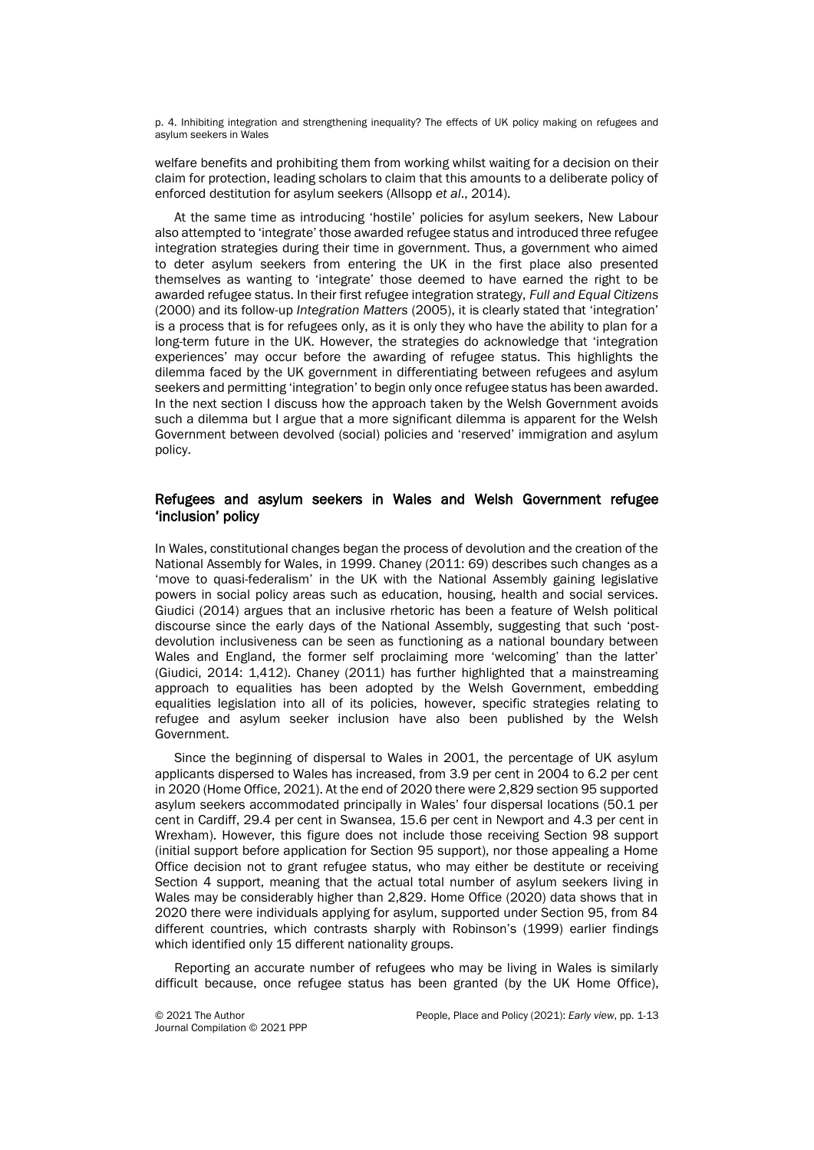p. 4. Inhibiting integration and strengthening inequality? The effects of UK policy making on refugees and asylum seekers in Wales

welfare benefits and prohibiting them from working whilst waiting for a decision on their claim for protection, leading scholars to claim that this amounts to a deliberate policy of enforced destitution for asylum seekers (Allsopp *et al*., 2014).

At the same time as introducing 'hostile' policies for asylum seekers, New Labour also attempted to 'integrate' those awarded refugee status and introduced three refugee integration strategies during their time in government. Thus, a government who aimed to deter asylum seekers from entering the UK in the first place also presented themselves as wanting to 'integrate' those deemed to have earned the right to be awarded refugee status. In their first refugee integration strategy, *Full and Equal Citizens* (2000) and its follow-up *Integration Matters* (2005), it is clearly stated that 'integration' is a process that is for refugees only, as it is only they who have the ability to plan for a long-term future in the UK. However, the strategies do acknowledge that 'integration experiences' may occur before the awarding of refugee status. This highlights the dilemma faced by the UK government in differentiating between refugees and asylum seekers and permitting 'integration' to begin only once refugee status has been awarded. In the next section I discuss how the approach taken by the Welsh Government avoids such a dilemma but I argue that a more significant dilemma is apparent for the Welsh Government between devolved (social) policies and 'reserved' immigration and asylum policy.

## Refugees and asylum seekers in Wales and Welsh Government refugee 'inclusion' policy

In Wales, constitutional changes began the process of devolution and the creation of the National Assembly for Wales, in 1999. Chaney (2011: 69) describes such changes as a 'move to quasi-federalism' in the UK with the National Assembly gaining legislative powers in social policy areas such as education, housing, health and social services. Giudici (2014) argues that an inclusive rhetoric has been a feature of Welsh political discourse since the early days of the National Assembly, suggesting that such 'postdevolution inclusiveness can be seen as functioning as a national boundary between Wales and England, the former self proclaiming more 'welcoming' than the latter' (Giudici, 2014: 1,412). Chaney (2011) has further highlighted that a mainstreaming approach to equalities has been adopted by the Welsh Government, embedding equalities legislation into all of its policies, however, specific strategies relating to refugee and asylum seeker inclusion have also been published by the Welsh Government.

Since the beginning of dispersal to Wales in 2001, the percentage of UK asylum applicants dispersed to Wales has increased, from 3.9 per cent in 2004 to 6.2 per cent in 2020 (Home Office, 2021). At the end of 2020 there were 2,829 section 95 supported asylum seekers accommodated principally in Wales' four dispersal locations (50.1 per cent in Cardiff, 29.4 per cent in Swansea, 15.6 per cent in Newport and 4.3 per cent in Wrexham). However, this figure does not include those receiving Section 98 support (initial support before application for Section 95 support), nor those appealing a Home Office decision not to grant refugee status, who may either be destitute or receiving Section 4 support, meaning that the actual total number of asylum seekers living in Wales may be considerably higher than 2,829. Home Office (2020) data shows that in 2020 there were individuals applying for asylum, supported under Section 95, from 84 different countries, which contrasts sharply with Robinson's (1999) earlier findings which identified only 15 different nationality groups.

Reporting an accurate number of refugees who may be living in Wales is similarly difficult because, once refugee status has been granted (by the UK Home Office),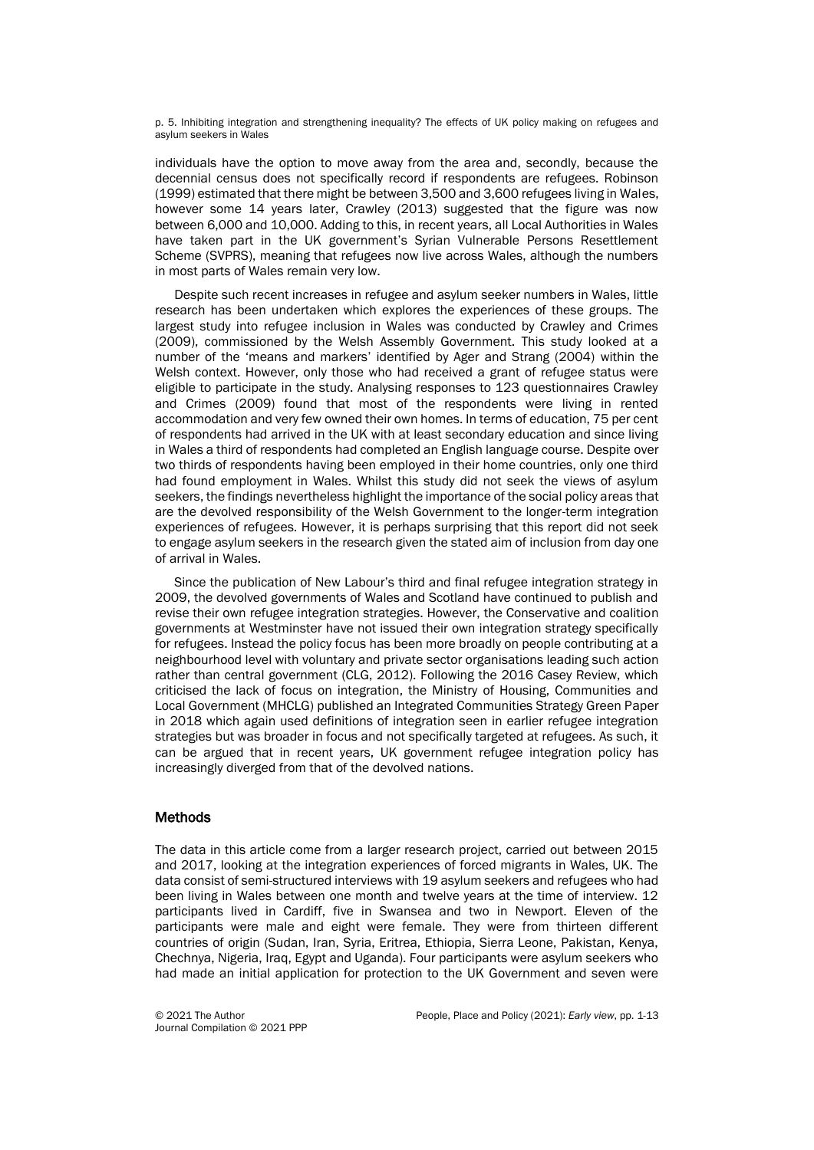p. 5. Inhibiting integration and strengthening inequality? The effects of UK policy making on refugees and asylum seekers in Wales

individuals have the option to move away from the area and, secondly, because the decennial census does not specifically record if respondents are refugees. Robinson (1999) estimated that there might be between 3,500 and 3,600 refugees living in Wales, however some 14 years later, Crawley (2013) suggested that the figure was now between 6,000 and 10,000. Adding to this, in recent years, all Local Authorities in Wales have taken part in the UK government's Syrian Vulnerable Persons Resettlement Scheme (SVPRS), meaning that refugees now live across Wales, although the numbers in most parts of Wales remain very low.

Despite such recent increases in refugee and asylum seeker numbers in Wales, little research has been undertaken which explores the experiences of these groups. The largest study into refugee inclusion in Wales was conducted by Crawley and Crimes (2009), commissioned by the Welsh Assembly Government. This study looked at a number of the 'means and markers' identified by Ager and Strang (2004) within the Welsh context. However, only those who had received a grant of refugee status were eligible to participate in the study. Analysing responses to 123 questionnaires Crawley and Crimes (2009) found that most of the respondents were living in rented accommodation and very few owned their own homes. In terms of education, 75 per cent of respondents had arrived in the UK with at least secondary education and since living in Wales a third of respondents had completed an English language course. Despite over two thirds of respondents having been employed in their home countries, only one third had found employment in Wales. Whilst this study did not seek the views of asylum seekers, the findings nevertheless highlight the importance of the social policy areas that are the devolved responsibility of the Welsh Government to the longer-term integration experiences of refugees. However, it is perhaps surprising that this report did not seek to engage asylum seekers in the research given the stated aim of inclusion from day one of arrival in Wales.

Since the publication of New Labour's third and final refugee integration strategy in 2009, the devolved governments of Wales and Scotland have continued to publish and revise their own refugee integration strategies. However, the Conservative and coalition governments at Westminster have not issued their own integration strategy specifically for refugees. Instead the policy focus has been more broadly on people contributing at a neighbourhood level with voluntary and private sector organisations leading such action rather than central government (CLG, 2012). Following the 2016 Casey Review, which criticised the lack of focus on integration, the Ministry of Housing, Communities and Local Government (MHCLG) published an Integrated Communities Strategy Green Paper in 2018 which again used definitions of integration seen in earlier refugee integration strategies but was broader in focus and not specifically targeted at refugees. As such, it can be argued that in recent years, UK government refugee integration policy has increasingly diverged from that of the devolved nations.

## **Methods**

The data in this article come from a larger research project, carried out between 2015 and 2017, looking at the integration experiences of forced migrants in Wales, UK. The data consist of semi-structured interviews with 19 asylum seekers and refugees who had been living in Wales between one month and twelve years at the time of interview. 12 participants lived in Cardiff, five in Swansea and two in Newport. Eleven of the participants were male and eight were female. They were from thirteen different countries of origin (Sudan, Iran, Syria, Eritrea, Ethiopia, Sierra Leone, Pakistan, Kenya, Chechnya, Nigeria, Iraq, Egypt and Uganda). Four participants were asylum seekers who had made an initial application for protection to the UK Government and seven were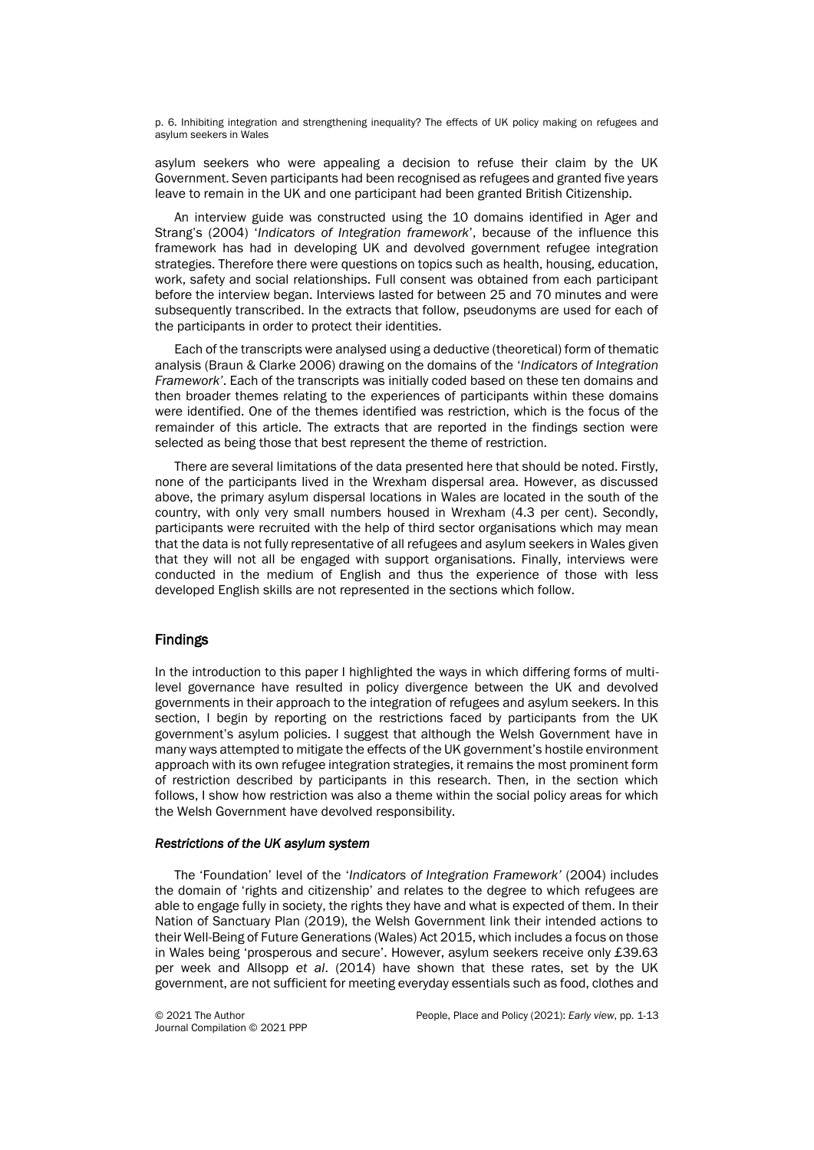p. 6. Inhibiting integration and strengthening inequality? The effects of UK policy making on refugees and asylum seekers in Wales

asylum seekers who were appealing a decision to refuse their claim by the UK Government. Seven participants had been recognised as refugees and granted five years leave to remain in the UK and one participant had been granted British Citizenship.

An interview guide was constructed using the 10 domains identified in Ager and Strang's (2004) '*Indicators of Integration framework*', because of the influence this framework has had in developing UK and devolved government refugee integration strategies. Therefore there were questions on topics such as health, housing, education, work, safety and social relationships. Full consent was obtained from each participant before the interview began. Interviews lasted for between 25 and 70 minutes and were subsequently transcribed. In the extracts that follow, pseudonyms are used for each of the participants in order to protect their identities.

Each of the transcripts were analysed using a deductive (theoretical) form of thematic analysis (Braun & Clarke 2006) drawing on the domains of the '*Indicators of Integration Framework'*. Each of the transcripts was initially coded based on these ten domains and then broader themes relating to the experiences of participants within these domains were identified. One of the themes identified was restriction, which is the focus of the remainder of this article. The extracts that are reported in the findings section were selected as being those that best represent the theme of restriction.

There are several limitations of the data presented here that should be noted. Firstly, none of the participants lived in the Wrexham dispersal area. However, as discussed above, the primary asylum dispersal locations in Wales are located in the south of the country, with only very small numbers housed in Wrexham (4.3 per cent). Secondly, participants were recruited with the help of third sector organisations which may mean that the data is not fully representative of all refugees and asylum seekers in Wales given that they will not all be engaged with support organisations. Finally, interviews were conducted in the medium of English and thus the experience of those with less developed English skills are not represented in the sections which follow.

## Findings

In the introduction to this paper I highlighted the ways in which differing forms of multilevel governance have resulted in policy divergence between the UK and devolved governments in their approach to the integration of refugees and asylum seekers. In this section, I begin by reporting on the restrictions faced by participants from the UK government's asylum policies. I suggest that although the Welsh Government have in many ways attempted to mitigate the effects of the UK government's hostile environment approach with its own refugee integration strategies, it remains the most prominent form of restriction described by participants in this research. Then, in the section which follows, I show how restriction was also a theme within the social policy areas for which the Welsh Government have devolved responsibility.

## *Restrictions of the UK asylum system*

The 'Foundation' level of the '*Indicators of Integration Framework'* (2004) includes the domain of 'rights and citizenship' and relates to the degree to which refugees are able to engage fully in society, the rights they have and what is expected of them. In their Nation of Sanctuary Plan (2019), the Welsh Government link their intended actions to their Well-Being of Future Generations (Wales) Act 2015, which includes a focus on those in Wales being 'prosperous and secure'. However, asylum seekers receive only £39.63 per week and Allsopp *et al*. (2014) have shown that these rates, set by the UK government, are not sufficient for meeting everyday essentials such as food, clothes and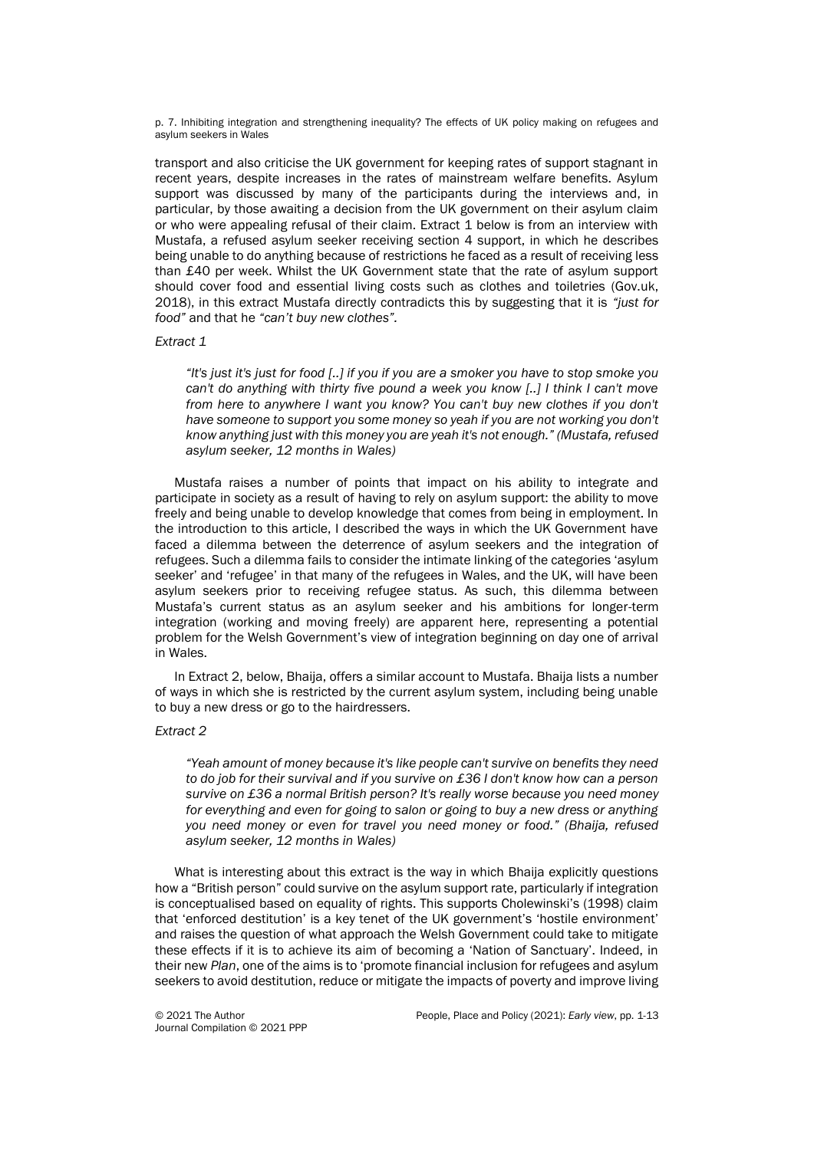p. 7. Inhibiting integration and strengthening inequality? The effects of UK policy making on refugees and asylum seekers in Wales

transport and also criticise the UK government for keeping rates of support stagnant in recent years, despite increases in the rates of mainstream welfare benefits. Asylum support was discussed by many of the participants during the interviews and, in particular, by those awaiting a decision from the UK government on their asylum claim or who were appealing refusal of their claim. Extract 1 below is from an interview with Mustafa, a refused asylum seeker receiving section 4 support, in which he describes being unable to do anything because of restrictions he faced as a result of receiving less than £40 per week. Whilst the UK Government state that the rate of asylum support should cover food and essential living costs such as clothes and toiletries (Gov.uk, 2018), in this extract Mustafa directly contradicts this by suggesting that it is *"just for food"* and that he *"can't buy new clothes".*

#### *Extract 1*

*"It's just it's just for food [..] if you if you are a smoker you have to stop smoke you can't do anything with thirty five pound a week you know [..] I think I can't move from here to anywhere I want you know? You can't buy new clothes if you don't have someone to support you some money so yeah if you are not working you don't know anything just with this money you are yeah it's not enough." (Mustafa, refused asylum seeker, 12 months in Wales)*

Mustafa raises a number of points that impact on his ability to integrate and participate in society as a result of having to rely on asylum support: the ability to move freely and being unable to develop knowledge that comes from being in employment. In the introduction to this article, I described the ways in which the UK Government have faced a dilemma between the deterrence of asylum seekers and the integration of refugees. Such a dilemma fails to consider the intimate linking of the categories 'asylum seeker' and 'refugee' in that many of the refugees in Wales, and the UK, will have been asylum seekers prior to receiving refugee status. As such, this dilemma between Mustafa's current status as an asylum seeker and his ambitions for longer-term integration (working and moving freely) are apparent here, representing a potential problem for the Welsh Government's view of integration beginning on day one of arrival in Wales.

In Extract 2, below, Bhaija, offers a similar account to Mustafa. Bhaija lists a number of ways in which she is restricted by the current asylum system, including being unable to buy a new dress or go to the hairdressers.

#### *Extract 2*

*"Yeah amount of money because it's like people can't survive on benefits they need to do job for their survival and if you survive on £36 I don't know how can a person survive on £36 a normal British person? It's really worse because you need money for everything and even for going to salon or going to buy a new dress or anything you need money or even for travel you need money or food." (Bhaija, refused asylum seeker, 12 months in Wales)*

What is interesting about this extract is the way in which Bhaija explicitly questions how a "British person" could survive on the asylum support rate, particularly if integration is conceptualised based on equality of rights. This supports Cholewinski's (1998) claim that 'enforced destitution' is a key tenet of the UK government's 'hostile environment' and raises the question of what approach the Welsh Government could take to mitigate these effects if it is to achieve its aim of becoming a 'Nation of Sanctuary'. Indeed, in their new *Plan*, one of the aims is to 'promote financial inclusion for refugees and asylum seekers to avoid destitution, reduce or mitigate the impacts of poverty and improve living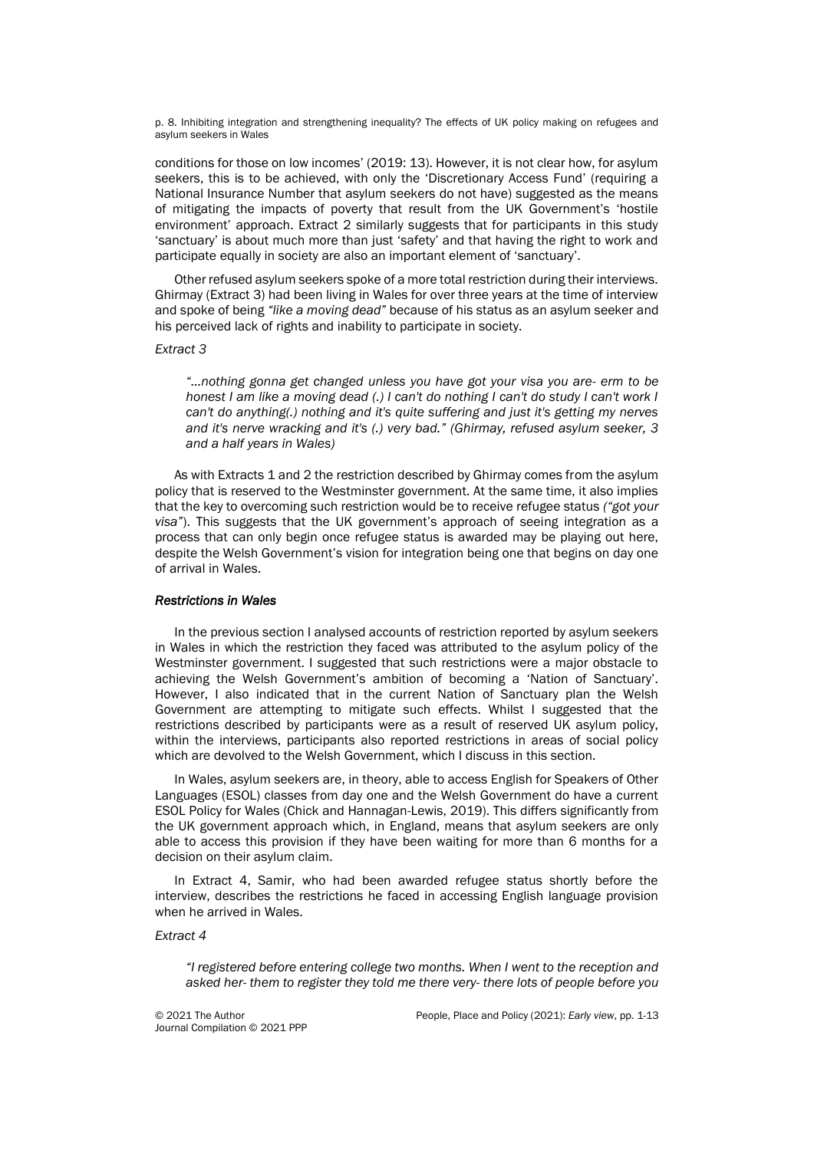p. 8. Inhibiting integration and strengthening inequality? The effects of UK policy making on refugees and asylum seekers in Wales

conditions for those on low incomes' (2019: 13). However, it is not clear how, for asylum seekers, this is to be achieved, with only the 'Discretionary Access Fund' (requiring a National Insurance Number that asylum seekers do not have) suggested as the means of mitigating the impacts of poverty that result from the UK Government's 'hostile environment' approach. Extract 2 similarly suggests that for participants in this study 'sanctuary' is about much more than just 'safety' and that having the right to work and participate equally in society are also an important element of 'sanctuary'.

Other refused asylum seekers spoke of a more total restriction during their interviews. Ghirmay (Extract 3) had been living in Wales for over three years at the time of interview and spoke of being *"like a moving dead"* because of his status as an asylum seeker and his perceived lack of rights and inability to participate in society.

#### *Extract 3*

*"…nothing gonna get changed unless you have got your visa you are- erm to be honest I am like a moving dead (.) I can't do nothing I can't do study I can't work I can't do anything(.) nothing and it's quite suffering and just it's getting my nerves and it's nerve wracking and it's (.) very bad." (Ghirmay, refused asylum seeker, 3 and a half years in Wales)*

As with Extracts 1 and 2 the restriction described by Ghirmay comes from the asylum policy that is reserved to the Westminster government. At the same time, it also implies that the key to overcoming such restriction would be to receive refugee status *("got your visa"*). This suggests that the UK government's approach of seeing integration as a process that can only begin once refugee status is awarded may be playing out here, despite the Welsh Government's vision for integration being one that begins on day one of arrival in Wales.

#### *Restrictions in Wales*

In the previous section I analysed accounts of restriction reported by asylum seekers in Wales in which the restriction they faced was attributed to the asylum policy of the Westminster government. I suggested that such restrictions were a major obstacle to achieving the Welsh Government's ambition of becoming a 'Nation of Sanctuary'. However, I also indicated that in the current Nation of Sanctuary plan the Welsh Government are attempting to mitigate such effects. Whilst I suggested that the restrictions described by participants were as a result of reserved UK asylum policy, within the interviews, participants also reported restrictions in areas of social policy which are devolved to the Welsh Government, which I discuss in this section.

In Wales, asylum seekers are, in theory, able to access English for Speakers of Other Languages (ESOL) classes from day one and the Welsh Government do have a current ESOL Policy for Wales (Chick and Hannagan-Lewis, 2019). This differs significantly from the UK government approach which, in England, means that asylum seekers are only able to access this provision if they have been waiting for more than 6 months for a decision on their asylum claim.

In Extract 4, Samir, who had been awarded refugee status shortly before the interview, describes the restrictions he faced in accessing English language provision when he arrived in Wales.

#### *Extract 4*

*"I registered before entering college two months. When I went to the reception and asked her- them to register they told me there very- there lots of people before you*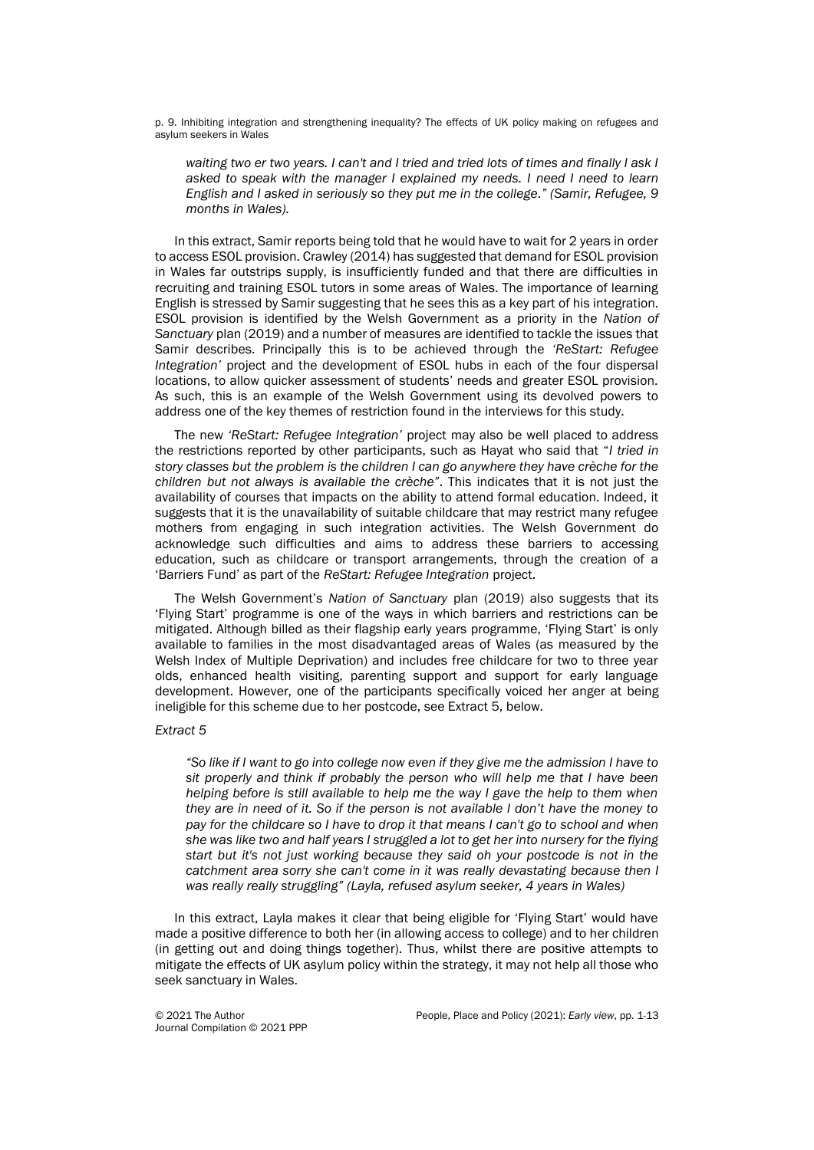p. 9. Inhibiting integration and strengthening inequality? The effects of UK policy making on refugees and asylum seekers in Wales

*waiting two er two years. I can't and I tried and tried lots of times and finally I ask I asked to speak with the manager I explained my needs. I need I need to learn English and I asked in seriously so they put me in the college." (Samir, Refugee, 9 months in Wales).*

In this extract, Samir reports being told that he would have to wait for 2 years in order to access ESOL provision. Crawley (2014) has suggested that demand for ESOL provision in Wales far outstrips supply, is insufficiently funded and that there are difficulties in recruiting and training ESOL tutors in some areas of Wales. The importance of learning English is stressed by Samir suggesting that he sees this as a key part of his integration. ESOL provision is identified by the Welsh Government as a priority in the *Nation of Sanctuary* plan (2019) and a number of measures are identified to tackle the issues that Samir describes. Principally this is to be achieved through the *'ReStart: Refugee Integration'* project and the development of ESOL hubs in each of the four dispersal locations, to allow quicker assessment of students' needs and greater ESOL provision. As such, this is an example of the Welsh Government using its devolved powers to address one of the key themes of restriction found in the interviews for this study.

The new *'ReStart: Refugee Integration'* project may also be well placed to address the restrictions reported by other participants, such as Hayat who said that "*I tried in story classes but the problem is the children I can go anywhere they have crèche for the children but not always is available the crèche"*. This indicates that it is not just the availability of courses that impacts on the ability to attend formal education. Indeed, it suggests that it is the unavailability of suitable childcare that may restrict many refugee mothers from engaging in such integration activities. The Welsh Government do acknowledge such difficulties and aims to address these barriers to accessing education, such as childcare or transport arrangements, through the creation of a 'Barriers Fund' as part of the *ReStart: Refugee Integration* project.

The Welsh Government's *Nation of Sanctuary* plan (2019) also suggests that its 'Flying Start' programme is one of the ways in which barriers and restrictions can be mitigated. Although billed as their flagship early years programme, 'Flying Start' is only available to families in the most disadvantaged areas of Wales (as measured by the Welsh Index of Multiple Deprivation) and includes free childcare for two to three year olds, enhanced health visiting, parenting support and support for early language development. However, one of the participants specifically voiced her anger at being ineligible for this scheme due to her postcode, see Extract 5, below.

#### *Extract 5*

*"So like if I want to go into college now even if they give me the admission I have to sit properly and think if probably the person who will help me that I have been helping before is still available to help me the way I gave the help to them when they are in need of it. So if the person is not available I don't have the money to pay for the childcare so I have to drop it that means I can't go to school and when she was like two and half years I struggled a lot to get her into nursery for the flying start but it's not just working because they said oh your postcode is not in the catchment area sorry she can't come in it was really devastating because then I was really really struggling" (Layla, refused asylum seeker, 4 years in Wales)*

In this extract, Layla makes it clear that being eligible for 'Flying Start' would have made a positive difference to both her (in allowing access to college) and to her children (in getting out and doing things together). Thus, whilst there are positive attempts to mitigate the effects of UK asylum policy within the strategy, it may not help all those who seek sanctuary in Wales.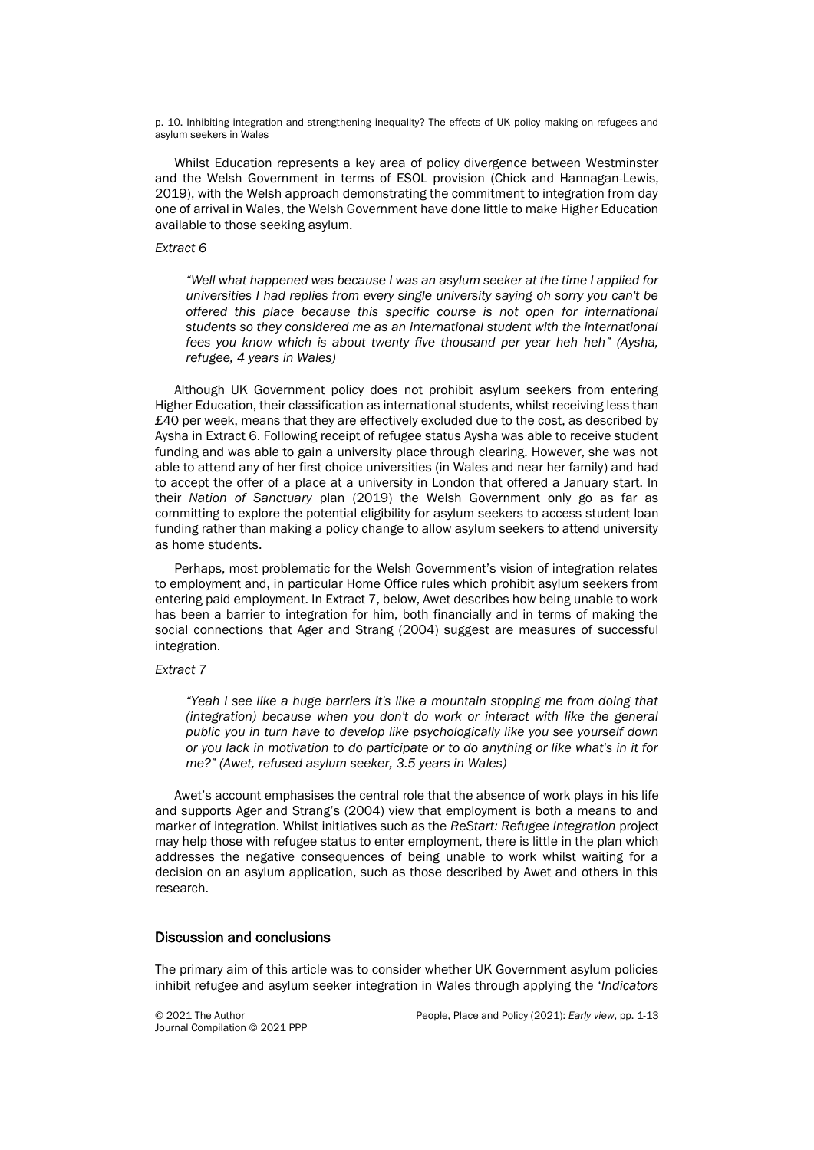p. 10. Inhibiting integration and strengthening inequality? The effects of UK policy making on refugees and asylum seekers in Wales

Whilst Education represents a key area of policy divergence between Westminster and the Welsh Government in terms of ESOL provision (Chick and Hannagan-Lewis, 2019), with the Welsh approach demonstrating the commitment to integration from day one of arrival in Wales, the Welsh Government have done little to make Higher Education available to those seeking asylum.

#### *Extract 6*

*"Well what happened was because I was an asylum seeker at the time I applied for universities I had replies from every single university saying oh sorry you can't be offered this place because this specific course is not open for international students so they considered me as an international student with the international fees you know which is about twenty five thousand per year heh heh" (Aysha, refugee, 4 years in Wales)*

Although UK Government policy does not prohibit asylum seekers from entering Higher Education, their classification as international students, whilst receiving less than £40 per week, means that they are effectively excluded due to the cost, as described by Aysha in Extract 6. Following receipt of refugee status Aysha was able to receive student funding and was able to gain a university place through clearing. However, she was not able to attend any of her first choice universities (in Wales and near her family) and had to accept the offer of a place at a university in London that offered a January start. In their *Nation of Sanctuary* plan (2019) the Welsh Government only go as far as committing to explore the potential eligibility for asylum seekers to access student loan funding rather than making a policy change to allow asylum seekers to attend university as home students.

Perhaps, most problematic for the Welsh Government's vision of integration relates to employment and, in particular Home Office rules which prohibit asylum seekers from entering paid employment. In Extract 7, below, Awet describes how being unable to work has been a barrier to integration for him, both financially and in terms of making the social connections that Ager and Strang (2004) suggest are measures of successful integration.

## *Extract 7*

*"Yeah I see like a huge barriers it's like a mountain stopping me from doing that (integration) because when you don't do work or interact with like the general public you in turn have to develop like psychologically like you see yourself down or you lack in motivation to do participate or to do anything or like what's in it for me?" (Awet, refused asylum seeker, 3.5 years in Wales)*

Awet's account emphasises the central role that the absence of work plays in his life and supports Ager and Strang's (2004) view that employment is both a means to and marker of integration. Whilst initiatives such as the *ReStart: Refugee Integration* project may help those with refugee status to enter employment, there is little in the plan which addresses the negative consequences of being unable to work whilst waiting for a decision on an asylum application, such as those described by Awet and others in this research.

## Discussion and conclusions

The primary aim of this article was to consider whether UK Government asylum policies inhibit refugee and asylum seeker integration in Wales through applying the '*Indicators*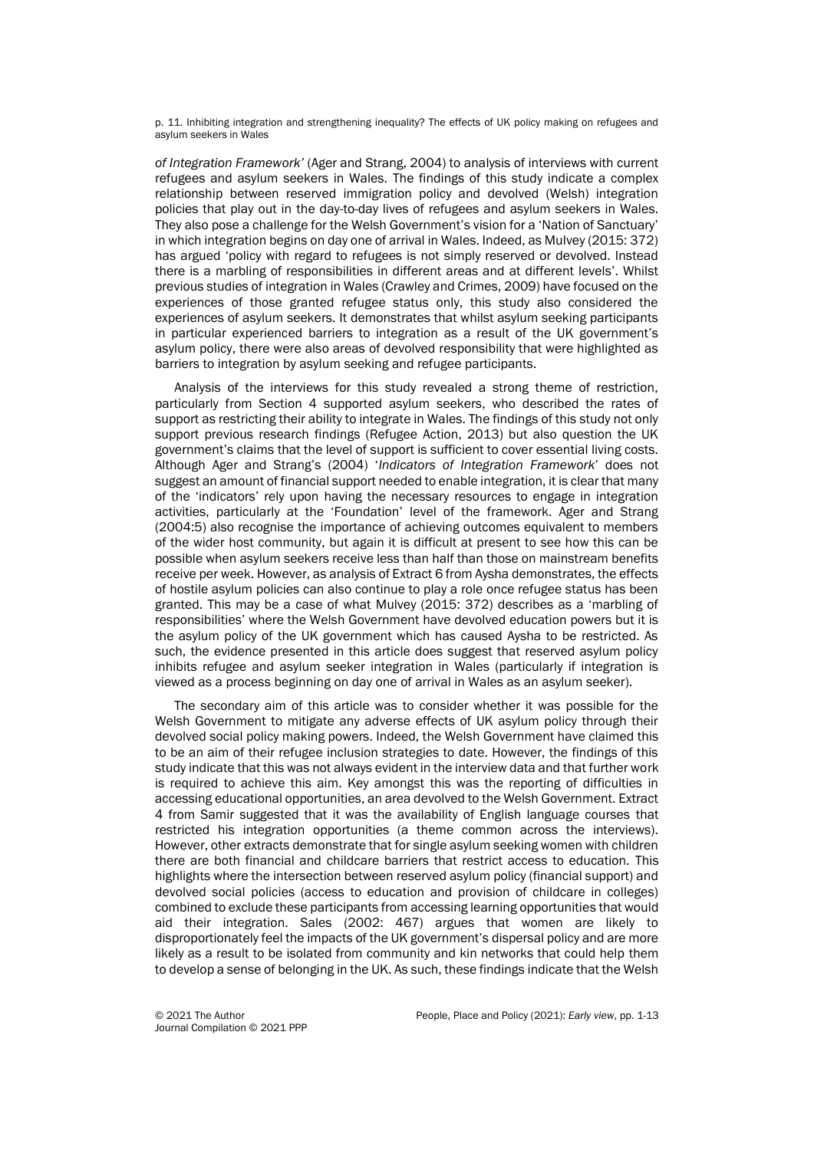p. 11. Inhibiting integration and strengthening inequality? The effects of UK policy making on refugees and asylum seekers in Wales

*of Integration Framework'* (Ager and Strang, 2004) to analysis of interviews with current refugees and asylum seekers in Wales. The findings of this study indicate a complex relationship between reserved immigration policy and devolved (Welsh) integration policies that play out in the day-to-day lives of refugees and asylum seekers in Wales. They also pose a challenge for the Welsh Government's vision for a 'Nation of Sanctuary' in which integration begins on day one of arrival in Wales. Indeed, as Mulvey (2015: 372) has argued 'policy with regard to refugees is not simply reserved or devolved. Instead there is a marbling of responsibilities in different areas and at different levels'. Whilst previous studies of integration in Wales (Crawley and Crimes, 2009) have focused on the experiences of those granted refugee status only, this study also considered the experiences of asylum seekers. It demonstrates that whilst asylum seeking participants in particular experienced barriers to integration as a result of the UK government's asylum policy, there were also areas of devolved responsibility that were highlighted as barriers to integration by asylum seeking and refugee participants.

Analysis of the interviews for this study revealed a strong theme of restriction, particularly from Section 4 supported asylum seekers, who described the rates of support as restricting their ability to integrate in Wales. The findings of this study not only support previous research findings (Refugee Action, 2013) but also question the UK government's claims that the level of support is sufficient to cover essential living costs. Although Ager and Strang's (2004) '*Indicators of Integration Framework*' does not suggest an amount of financial support needed to enable integration, it is clear that many of the 'indicators' rely upon having the necessary resources to engage in integration activities, particularly at the 'Foundation' level of the framework. Ager and Strang (2004:5) also recognise the importance of achieving outcomes equivalent to members of the wider host community, but again it is difficult at present to see how this can be possible when asylum seekers receive less than half than those on mainstream benefits receive per week. However, as analysis of Extract 6 from Aysha demonstrates, the effects of hostile asylum policies can also continue to play a role once refugee status has been granted. This may be a case of what Mulvey (2015: 372) describes as a 'marbling of responsibilities' where the Welsh Government have devolved education powers but it is the asylum policy of the UK government which has caused Aysha to be restricted. As such, the evidence presented in this article does suggest that reserved asylum policy inhibits refugee and asylum seeker integration in Wales (particularly if integration is viewed as a process beginning on day one of arrival in Wales as an asylum seeker).

The secondary aim of this article was to consider whether it was possible for the Welsh Government to mitigate any adverse effects of UK asylum policy through their devolved social policy making powers. Indeed, the Welsh Government have claimed this to be an aim of their refugee inclusion strategies to date. However, the findings of this study indicate that this was not always evident in the interview data and that further work is required to achieve this aim. Key amongst this was the reporting of difficulties in accessing educational opportunities, an area devolved to the Welsh Government. Extract 4 from Samir suggested that it was the availability of English language courses that restricted his integration opportunities (a theme common across the interviews). However, other extracts demonstrate that for single asylum seeking women with children there are both financial and childcare barriers that restrict access to education. This highlights where the intersection between reserved asylum policy (financial support) and devolved social policies (access to education and provision of childcare in colleges) combined to exclude these participants from accessing learning opportunities that would aid their integration. Sales (2002: 467) argues that women are likely to disproportionately feel the impacts of the UK government's dispersal policy and are more likely as a result to be isolated from community and kin networks that could help them to develop a sense of belonging in the UK. As such, these findings indicate that the Welsh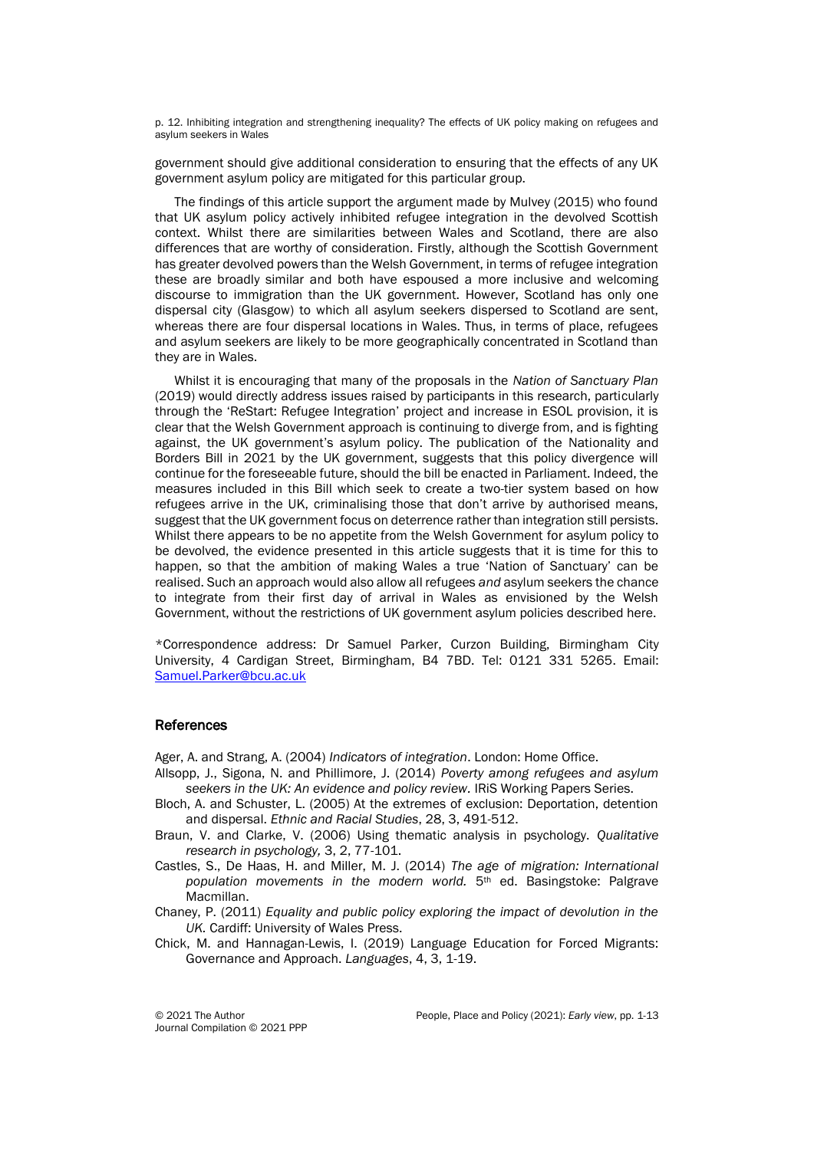p. 12. Inhibiting integration and strengthening inequality? The effects of UK policy making on refugees and asylum seekers in Wales

government should give additional consideration to ensuring that the effects of any UK government asylum policy are mitigated for this particular group.

The findings of this article support the argument made by Mulvey (2015) who found that UK asylum policy actively inhibited refugee integration in the devolved Scottish context. Whilst there are similarities between Wales and Scotland, there are also differences that are worthy of consideration. Firstly, although the Scottish Government has greater devolved powers than the Welsh Government, in terms of refugee integration these are broadly similar and both have espoused a more inclusive and welcoming discourse to immigration than the UK government. However, Scotland has only one dispersal city (Glasgow) to which all asylum seekers dispersed to Scotland are sent, whereas there are four dispersal locations in Wales. Thus, in terms of place, refugees and asylum seekers are likely to be more geographically concentrated in Scotland than they are in Wales.

Whilst it is encouraging that many of the proposals in the *Nation of Sanctuary Plan* (2019) would directly address issues raised by participants in this research, particularly through the 'ReStart: Refugee Integration' project and increase in ESOL provision, it is clear that the Welsh Government approach is continuing to diverge from, and is fighting against, the UK government's asylum policy. The publication of the Nationality and Borders Bill in 2021 by the UK government, suggests that this policy divergence will continue for the foreseeable future, should the bill be enacted in Parliament. Indeed, the measures included in this Bill which seek to create a two-tier system based on how refugees arrive in the UK, criminalising those that don't arrive by authorised means, suggest that the UK government focus on deterrence rather than integration still persists. Whilst there appears to be no appetite from the Welsh Government for asylum policy to be devolved, the evidence presented in this article suggests that it is time for this to happen, so that the ambition of making Wales a true 'Nation of Sanctuary' can be realised. Such an approach would also allow all refugees *and* asylum seekers the chance to integrate from their first day of arrival in Wales as envisioned by the Welsh Government, without the restrictions of UK government asylum policies described here.

\*Correspondence address: Dr Samuel Parker, Curzon Building, Birmingham City University, 4 Cardigan Street, Birmingham, B4 7BD. Tel: 0121 331 5265. Email: [Samuel.Parker@bcu.ac.uk](mailto:Samuel.Parker@bcu.ac.uk)

#### References

Ager, A. and Strang, A. (2004) *Indicators of integration*. London: Home Office.

- Allsopp, J., Sigona, N. and Phillimore, J. (2014) *Poverty among refugees and asylum seekers in the UK: An evidence and policy review.* IRiS Working Papers Series.
- Bloch, A. and Schuster, L. (2005) At the extremes of exclusion: Deportation, detention and dispersal. *Ethnic and Racial Studies*, 28, 3, 491-512.
- Braun, V. and Clarke, V. (2006) Using thematic analysis in psychology. *Qualitative research in psychology,* 3, 2, 77-101.
- Castles, S., De Haas, H. and Miller, M. J. (2014) *The age of migration: International population movements in the modern world.* 5th ed. Basingstoke: Palgrave Macmillan.
- Chaney, P. (2011) *Equality and public policy exploring the impact of devolution in the UK.* Cardiff: University of Wales Press.
- Chick, M. and Hannagan-Lewis, I. (2019) Language Education for Forced Migrants: Governance and Approach. *Languages*, 4, 3, 1-19.